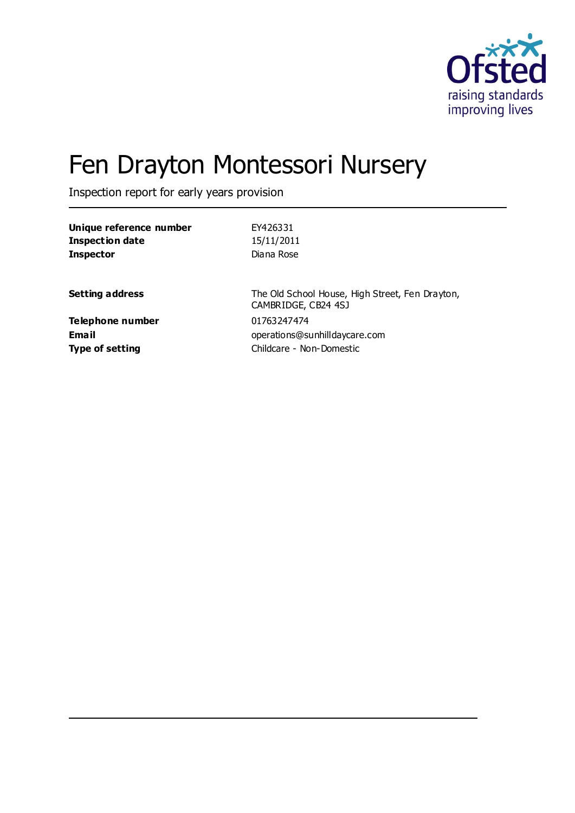

# Fen Drayton Montessori Nursery

Inspection report for early years provision

| Unique reference number | EY426331                                                               |
|-------------------------|------------------------------------------------------------------------|
| <b>Inspection date</b>  | 15/11/2011                                                             |
| <b>Inspector</b>        | Diana Rose                                                             |
| <b>Setting address</b>  | The Old School House, High Street, Fen Drayton,<br>CAMBRIDGE, CB24 4SJ |
| Telephone number        | 01763247474                                                            |
| <b>Email</b>            | operations@sunhilldaycare.com                                          |
| <b>Type of setting</b>  | Childcare - Non-Domestic                                               |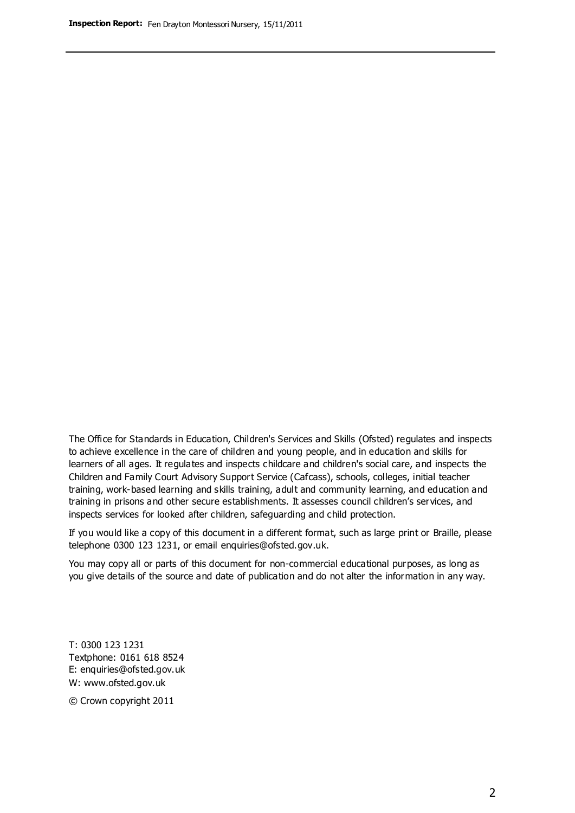The Office for Standards in Education, Children's Services and Skills (Ofsted) regulates and inspects to achieve excellence in the care of children and young people, and in education and skills for learners of all ages. It regulates and inspects childcare and children's social care, and inspects the Children and Family Court Advisory Support Service (Cafcass), schools, colleges, initial teacher training, work-based learning and skills training, adult and community learning, and education and training in prisons and other secure establishments. It assesses council children's services, and inspects services for looked after children, safeguarding and child protection.

If you would like a copy of this document in a different format, such as large print or Braille, please telephone 0300 123 1231, or email enquiries@ofsted.gov.uk.

You may copy all or parts of this document for non-commercial educational purposes, as long as you give details of the source and date of publication and do not alter the information in any way.

T: 0300 123 1231 Textphone: 0161 618 8524 E: enquiries@ofsted.gov.uk W: [www.ofsted.gov.uk](http://www.ofsted.gov.uk/)

© Crown copyright 2011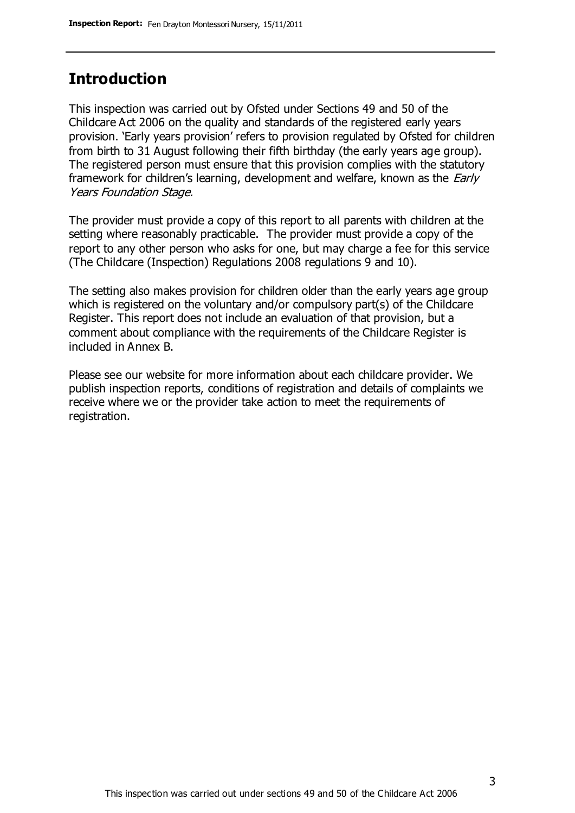### **Introduction**

This inspection was carried out by Ofsted under Sections 49 and 50 of the Childcare Act 2006 on the quality and standards of the registered early years provision. 'Early years provision' refers to provision regulated by Ofsted for children from birth to 31 August following their fifth birthday (the early years age group). The registered person must ensure that this provision complies with the statutory framework for children's learning, development and welfare, known as the *Early* Years Foundation Stage.

The provider must provide a copy of this report to all parents with children at the setting where reasonably practicable. The provider must provide a copy of the report to any other person who asks for one, but may charge a fee for this service (The Childcare (Inspection) Regulations 2008 regulations 9 and 10).

The setting also makes provision for children older than the early years age group which is registered on the voluntary and/or compulsory part(s) of the Childcare Register. This report does not include an evaluation of that provision, but a comment about compliance with the requirements of the Childcare Register is included in Annex B.

Please see our website for more information about each childcare provider. We publish inspection reports, conditions of registration and details of complaints we receive where we or the provider take action to meet the requirements of registration.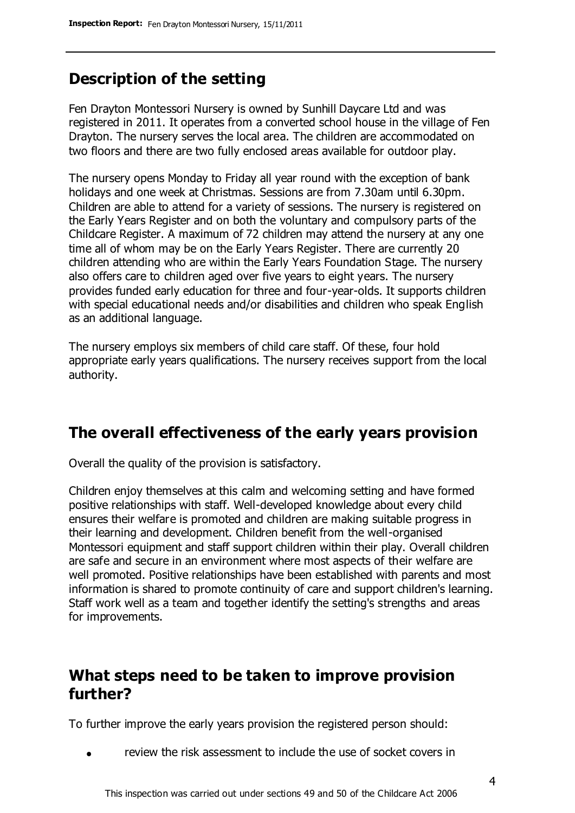### **Description of the setting**

Fen Drayton Montessori Nursery is owned by Sunhill Daycare Ltd and was registered in 2011. It operates from a converted school house in the village of Fen Drayton. The nursery serves the local area. The children are accommodated on two floors and there are two fully enclosed areas available for outdoor play.

The nursery opens Monday to Friday all year round with the exception of bank holidays and one week at Christmas. Sessions are from 7.30am until 6.30pm. Children are able to attend for a variety of sessions. The nursery is registered on the Early Years Register and on both the voluntary and compulsory parts of the Childcare Register. A maximum of 72 children may attend the nursery at any one time all of whom may be on the Early Years Register. There are currently 20 children attending who are within the Early Years Foundation Stage. The nursery also offers care to children aged over five years to eight years. The nursery provides funded early education for three and four-year-olds. It supports children with special educational needs and/or disabilities and children who speak English as an additional language.

The nursery employs six members of child care staff. Of these, four hold appropriate early years qualifications. The nursery receives support from the local authority.

### **The overall effectiveness of the early years provision**

Overall the quality of the provision is satisfactory.

Children enjoy themselves at this calm and welcoming setting and have formed positive relationships with staff. Well-developed knowledge about every child ensures their welfare is promoted and children are making suitable progress in their learning and development. Children benefit from the well-organised Montessori equipment and staff support children within their play. Overall children are safe and secure in an environment where most aspects of their welfare are well promoted. Positive relationships have been established with parents and most information is shared to promote continuity of care and support children's learning. Staff work well as a team and together identify the setting's strengths and areas for improvements.

### **What steps need to be taken to improve provision further?**

To further improve the early years provision the registered person should:

review the risk assessment to include the use of socket covers in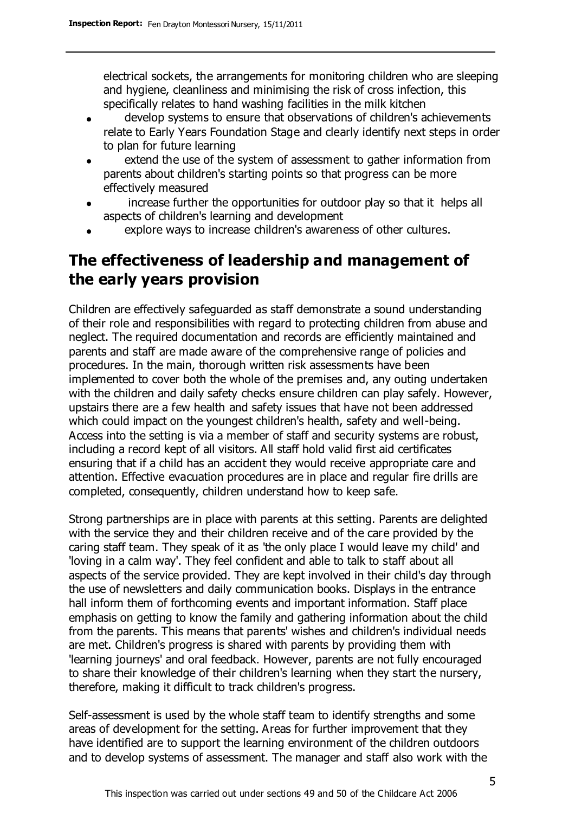electrical sockets, the arrangements for monitoring children who are sleeping and hygiene, cleanliness and minimising the risk of cross infection, this specifically relates to hand washing facilities in the milk kitchen

- develop systems to ensure that observations of children's achievements  $\bullet$ relate to Early Years Foundation Stage and clearly identify next steps in order to plan for future learning
- extend the use of the system of assessment to gather information from  $\bullet$ parents about children's starting points so that progress can be more effectively measured
- increase further the opportunities for outdoor play so that it helps all  $\bullet$ aspects of children's learning and development
- explore ways to increase children's awareness of other cultures.

### **The effectiveness of leadership and management of the early years provision**

Children are effectively safeguarded as staff demonstrate a sound understanding of their role and responsibilities with regard to protecting children from abuse and neglect. The required documentation and records are efficiently maintained and parents and staff are made aware of the comprehensive range of policies and procedures. In the main, thorough written risk assessments have been implemented to cover both the whole of the premises and, any outing undertaken with the children and daily safety checks ensure children can play safely. However, upstairs there are a few health and safety issues that have not been addressed which could impact on the youngest children's health, safety and well-being. Access into the setting is via a member of staff and security systems are robust, including a record kept of all visitors. All staff hold valid first aid certificates ensuring that if a child has an accident they would receive appropriate care and attention. Effective evacuation procedures are in place and regular fire drills are completed, consequently, children understand how to keep safe.

Strong partnerships are in place with parents at this setting. Parents are delighted with the service they and their children receive and of the care provided by the caring staff team. They speak of it as 'the only place I would leave my child' and 'loving in a calm way'. They feel confident and able to talk to staff about all aspects of the service provided. They are kept involved in their child's day through the use of newsletters and daily communication books. Displays in the entrance hall inform them of forthcoming events and important information. Staff place emphasis on getting to know the family and gathering information about the child from the parents. This means that parents' wishes and children's individual needs are met. Children's progress is shared with parents by providing them with 'learning journeys' and oral feedback. However, parents are not fully encouraged to share their knowledge of their children's learning when they start the nursery, therefore, making it difficult to track children's progress.

Self-assessment is used by the whole staff team to identify strengths and some areas of development for the setting. Areas for further improvement that they have identified are to support the learning environment of the children outdoors and to develop systems of assessment. The manager and staff also work with the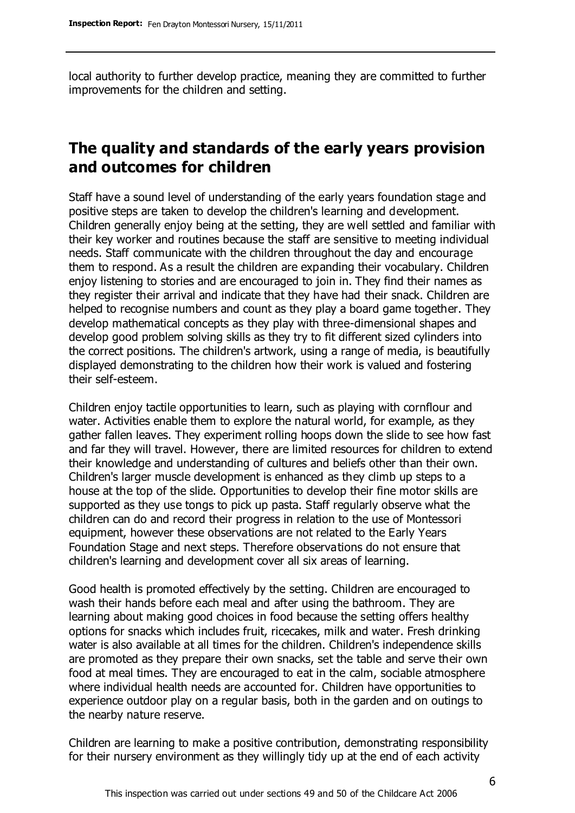local authority to further develop practice, meaning they are committed to further improvements for the children and setting.

### **The quality and standards of the early years provision and outcomes for children**

Staff have a sound level of understanding of the early years foundation stage and positive steps are taken to develop the children's learning and development. Children generally enjoy being at the setting, they are well settled and familiar with their key worker and routines because the staff are sensitive to meeting individual needs. Staff communicate with the children throughout the day and encourage them to respond. As a result the children are expanding their vocabulary. Children enjoy listening to stories and are encouraged to join in. They find their names as they register their arrival and indicate that they have had their snack. Children are helped to recognise numbers and count as they play a board game together. They develop mathematical concepts as they play with three-dimensional shapes and develop good problem solving skills as they try to fit different sized cylinders into the correct positions. The children's artwork, using a range of media, is beautifully displayed demonstrating to the children how their work is valued and fostering their self-esteem.

Children enjoy tactile opportunities to learn, such as playing with cornflour and water. Activities enable them to explore the natural world, for example, as they gather fallen leaves. They experiment rolling hoops down the slide to see how fast and far they will travel. However, there are limited resources for children to extend their knowledge and understanding of cultures and beliefs other than their own. Children's larger muscle development is enhanced as they climb up steps to a house at the top of the slide. Opportunities to develop their fine motor skills are supported as they use tongs to pick up pasta. Staff regularly observe what the children can do and record their progress in relation to the use of Montessori equipment, however these observations are not related to the Early Years Foundation Stage and next steps. Therefore observations do not ensure that children's learning and development cover all six areas of learning.

Good health is promoted effectively by the setting. Children are encouraged to wash their hands before each meal and after using the bathroom. They are learning about making good choices in food because the setting offers healthy options for snacks which includes fruit, ricecakes, milk and water. Fresh drinking water is also available at all times for the children. Children's independence skills are promoted as they prepare their own snacks, set the table and serve their own food at meal times. They are encouraged to eat in the calm, sociable atmosphere where individual health needs are accounted for. Children have opportunities to experience outdoor play on a regular basis, both in the garden and on outings to the nearby nature reserve.

Children are learning to make a positive contribution, demonstrating responsibility for their nursery environment as they willingly tidy up at the end of each activity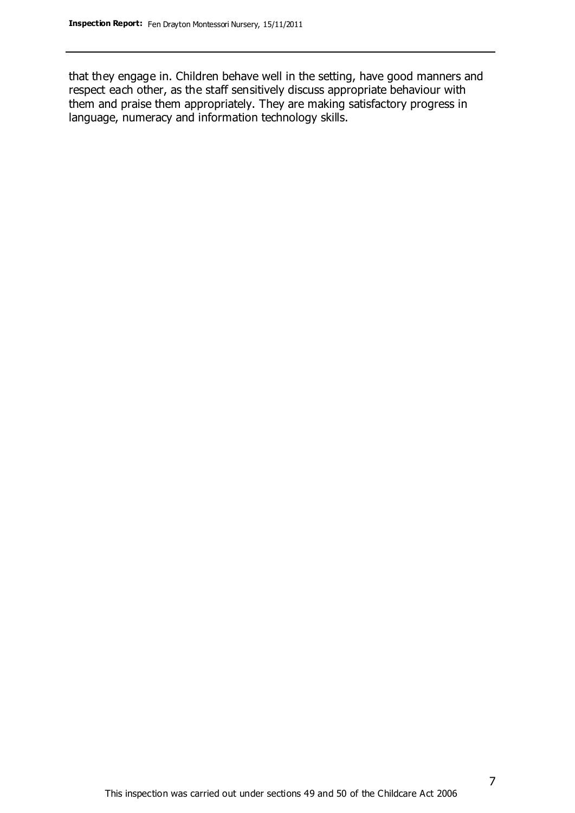that they engage in. Children behave well in the setting, have good manners and respect each other, as the staff sensitively discuss appropriate behaviour with them and praise them appropriately. They are making satisfactory progress in language, numeracy and information technology skills.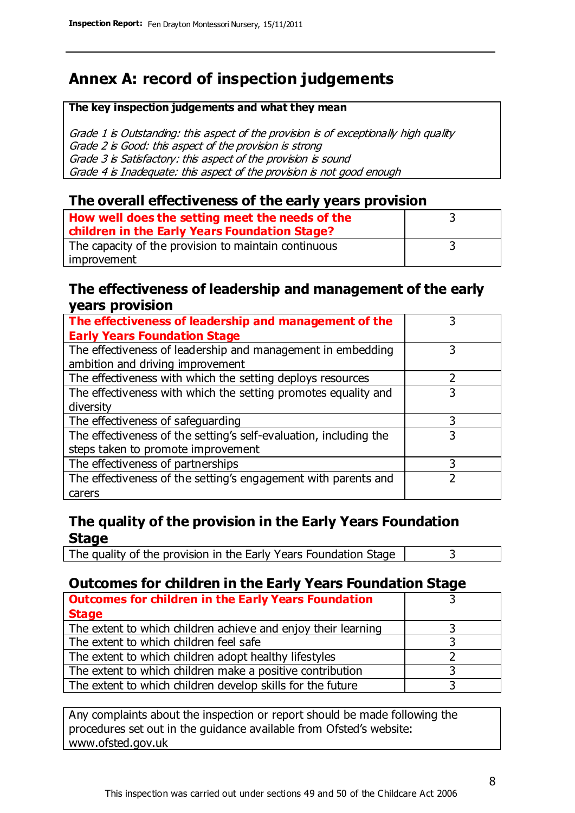### **Annex A: record of inspection judgements**

#### **The key inspection judgements and what they mean**

Grade 1 is Outstanding: this aspect of the provision is of exceptionally high quality Grade 2 is Good: this aspect of the provision is strong Grade 3 is Satisfactory: this aspect of the provision is sound Grade 4 is Inadequate: this aspect of the provision is not good enough

#### **The overall effectiveness of the early years provision**

| How well does the setting meet the needs of the      |  |
|------------------------------------------------------|--|
| children in the Early Years Foundation Stage?        |  |
| The capacity of the provision to maintain continuous |  |
| improvement                                          |  |

#### **The effectiveness of leadership and management of the early years provision**

| The effectiveness of leadership and management of the             |   |
|-------------------------------------------------------------------|---|
| <b>Early Years Foundation Stage</b>                               |   |
| The effectiveness of leadership and management in embedding       |   |
| ambition and driving improvement                                  |   |
| The effectiveness with which the setting deploys resources        |   |
| The effectiveness with which the setting promotes equality and    | 3 |
| diversity                                                         |   |
| The effectiveness of safeguarding                                 |   |
| The effectiveness of the setting's self-evaluation, including the | 3 |
| steps taken to promote improvement                                |   |
| The effectiveness of partnerships                                 | 3 |
| The effectiveness of the setting's engagement with parents and    |   |
| carers                                                            |   |

### **The quality of the provision in the Early Years Foundation Stage**

The quality of the provision in the Early Years Foundation Stage  $\vert$  3

### **Outcomes for children in the Early Years Foundation Stage**

| <b>Outcomes for children in the Early Years Foundation</b>    |  |
|---------------------------------------------------------------|--|
| <b>Stage</b>                                                  |  |
| The extent to which children achieve and enjoy their learning |  |
| The extent to which children feel safe                        |  |
| The extent to which children adopt healthy lifestyles         |  |
| The extent to which children make a positive contribution     |  |
| The extent to which children develop skills for the future    |  |

Any complaints about the inspection or report should be made following the procedures set out in the guidance available from Ofsted's website: www.ofsted.gov.uk